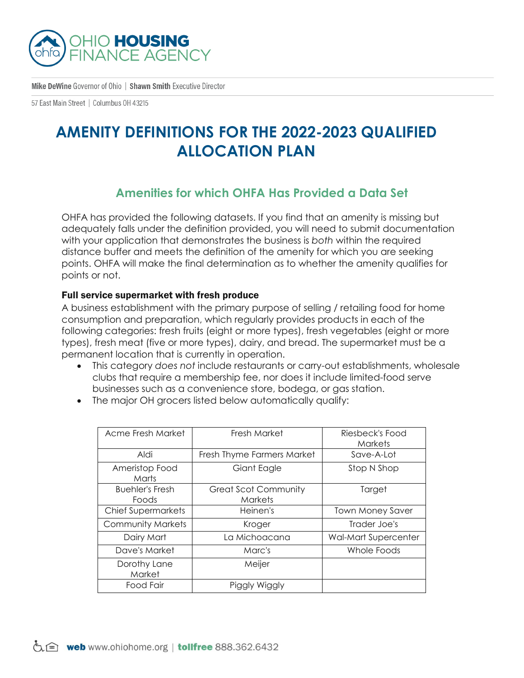

Mike DeWine Governor of Ohio | Shawn Smith Executive Director

57 East Main Street | Columbus 0H 43215

# **AMENITY DEFINITIONS FOR THE 2022-2023 QUALIFIED ALLOCATION PLAN**

# **Amenities for which OHFA Has Provided a Data Set**

OHFA has provided the following datasets. If you find that an amenity is missing but adequately falls under the definition provided, you will need to submit documentation with your application that demonstrates the business is *both* within the required distance buffer and meets the definition of the amenity for which you are seeking points. OHFA will make the final determination as to whether the amenity qualifies for points or not.

#### Full service supermarket with fresh produce

A business establishment with the primary purpose of selling / retailing food for home consumption and preparation, which regularly provides products in each of the following categories: fresh fruits (eight or more types), fresh vegetables (eight or more types), fresh meat (five or more types), dairy, and bread. The supermarket must be a permanent location that is currently in operation.

- This category *does not* include restaurants or carry-out establishments, wholesale clubs that require a membership fee, nor does it include limited-food serve businesses such as a convenience store, bodega, or gas station.
- The major OH grocers listed below automatically qualify:

| Acme Fresh Market               | Fresh Market                                  | Riesbeck's Food<br><b>Markets</b> |
|---------------------------------|-----------------------------------------------|-----------------------------------|
| iblA                            | Fresh Thyme Farmers Market                    | Save-A-Lot                        |
| Ameristop Food<br>Marts         | Giant Eagle                                   | Stop N Shop                       |
| <b>Buehler's Fresh</b><br>Foods | <b>Great Scot Community</b><br><b>Markets</b> | Target                            |
| <b>Chief Supermarkets</b>       | Heinen's                                      | <b>Town Money Saver</b>           |
| <b>Community Markets</b>        | Kroger                                        | Trader Joe's                      |
| Dairy Mart                      | La Michoacana                                 | <b>Wal-Mart Supercenter</b>       |
| Dave's Market                   | Marc's                                        | Whole Foods                       |
| Dorothy Lane<br>Market          | Meijer                                        |                                   |
| Food Fair                       | Piggly Wiggly                                 |                                   |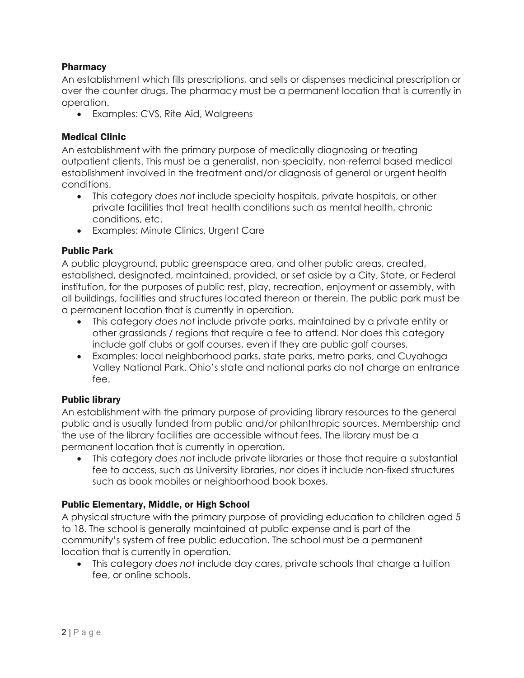## Pharmacy

An establishment which fills prescriptions, and sells or dispenses medicinal prescription or over the counter drugs. The pharmacy must be a permanent location that is currently in operation.

• Examples: CVS, Rite Aid, Walgreens

### Medical Clinic

An establishment with the primary purpose of medically diagnosing or treating outpatient clients. This must be a generalist, non-specialty, non-referral based medical establishment involved in the treatment and/or diagnosis of general or urgent health conditions.

- This category *does not* include specialty hospitals, private hospitals, or other private facilities that treat health conditions such as mental health, chronic conditions, etc.
- Examples: Minute Clinics, Urgent Care

### Public Park

A public playground, public greenspace area, and other public areas, created, established, designated, maintained, provided, or set aside by a City, State, or Federal institution, for the purposes of public rest, play, recreation, enjoyment or assembly, with all buildings, facilities and structures located thereon or therein. The public park must be a permanent location that is currently in operation.

- This category *does not* include private parks, maintained by a private entity or other grasslands / regions that require a fee to attend. Nor does this category include golf clubs or golf courses, even if they are public golf courses.
- Examples: local neighborhood parks, state parks, metro parks, and Cuyahoga Valley National Park. Ohio's state and national parks do not charge an entrance fee.

### Public library

An establishment with the primary purpose of providing library resources to the general public and is usually funded from public and/or philanthropic sources. Membership and the use of the library facilities are accessible without fees. The library must be a permanent location that is currently in operation.

• This category *does not* include private libraries or those that require a substantial fee to access, such as University libraries, nor does it include non-fixed structures such as book mobiles or neighborhood book boxes.

## Public Elementary, Middle, or High School

A physical structure with the primary purpose of providing education to children aged 5 to 18. The school is generally maintained at public expense and is part of the community's system of free public education. The school must be a permanent location that is currently in operation.

• This category *does not* include day cares, private schools that charge a tuition fee, or online schools.